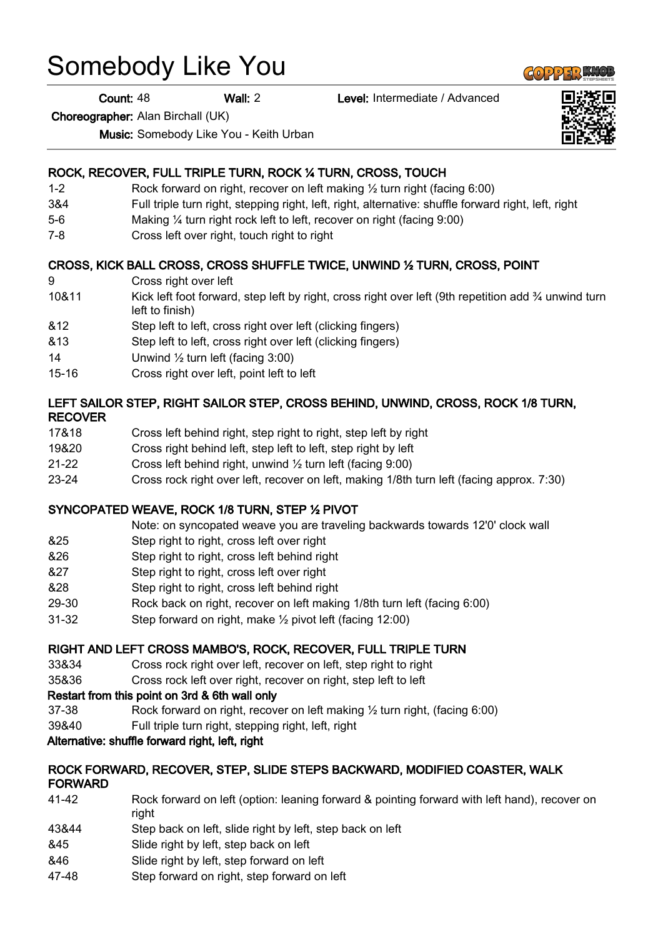# Somebody Like You

Count: 48 Wall: 2 Level: Intermediate / Advanced

Choreographer: Alan Birchall (UK)

Music: Somebody Like You - Keith Urban

## ROCK, RECOVER, FULL TRIPLE TURN, ROCK ¼ TURN, CROSS, TOUCH

- 1-2 Rock forward on right, recover on left making ½ turn right (facing 6:00)
- 3&4 Full triple turn right, stepping right, left, right, alternative: shuffle forward right, left, right
- 5-6 Making ¼ turn right rock left to left, recover on right (facing 9:00)
- 7-8 Cross left over right, touch right to right

#### CROSS, KICK BALL CROSS, CROSS SHUFFLE TWICE, UNWIND ½ TURN, CROSS, POINT

- 9 Cross right over left
- 10&11 Kick left foot forward, step left by right, cross right over left (9th repetition add 3⁄4 unwind turn left to finish)
- &12 Step left to left, cross right over left (clicking fingers)
- &13 Step left to left, cross right over left (clicking fingers)
- 14 Unwind 1/2 turn left (facing 3:00)
- 15-16 Cross right over left, point left to left

#### LEFT SAILOR STEP, RIGHT SAILOR STEP, CROSS BEHIND, UNWIND, CROSS, ROCK 1/8 TURN, RECOVER

- 17&18 Cross left behind right, step right to right, step left by right
- 19&20 Cross right behind left, step left to left, step right by left
- 21-22 Cross left behind right, unwind ½ turn left (facing 9:00)
- 23-24 Cross rock right over left, recover on left, making 1/8th turn left (facing approx. 7:30)

#### SYNCOPATED WEAVE, ROCK 1/8 TURN, STEP ½ PIVOT

Note: on syncopated weave you are traveling backwards towards 12'0' clock wall

- &25 Step right to right, cross left over right
- &26 Step right to right, cross left behind right
- &27 Step right to right, cross left over right
- &28 Step right to right, cross left behind right
- 29-30 Rock back on right, recover on left making 1/8th turn left (facing 6:00)
- 31-32 Step forward on right, make ½ pivot left (facing 12:00)

#### RIGHT AND LEFT CROSS MAMBO'S, ROCK, RECOVER, FULL TRIPLE TURN

- 33&34 Cross rock right over left, recover on left, step right to right
- 35&36 Cross rock left over right, recover on right, step left to left

#### Restart from this point on 3rd & 6th wall only

- 37-38 Rock forward on right, recover on left making ½ turn right, (facing 6:00)
- 39&40 Full triple turn right, stepping right, left, right

#### Alternative: shuffle forward right, left, right

#### ROCK FORWARD, RECOVER, STEP, SLIDE STEPS BACKWARD, MODIFIED COASTER, WALK FORWARD

- 41-42 Rock forward on left (option: leaning forward & pointing forward with left hand), recover on right
- 43&44 Step back on left, slide right by left, step back on left
- &45 Slide right by left, step back on left
- &46 Slide right by left, step forward on left
- 47-48 Step forward on right, step forward on left